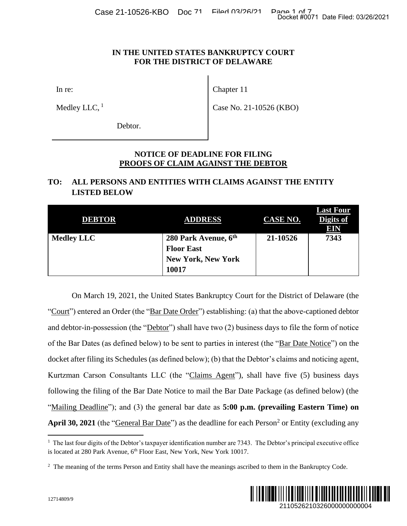Case 21-10526-KBO Doc 71 Filed 03/26/21 Page 1 of 7<br>Docket #0071 Date Filed: 03/26/2021

## **IN THE UNITED STATES BANKRUPTCY COURT FOR THE DISTRICT OF DELAWARE**

In re:

Medley LLC,  $<sup>1</sup>$ </sup>

Chapter 11

Case No. 21-10526 (KBO)

Debtor.

## **NOTICE OF DEADLINE FOR FILING PROOFS OF CLAIM AGAINST THE DEBTOR**

# **TO: ALL PERSONS AND ENTITIES WITH CLAIMS AGAINST THE ENTITY LISTED BELOW**

| <b>DEBTOR</b>     | <b>ADDRESS</b>            | CASE NO. | <b>Last Four</b><br>Digits of<br>EIN |
|-------------------|---------------------------|----------|--------------------------------------|
| <b>Medley LLC</b> | 280 Park Avenue, 6th      | 21-10526 | 7343                                 |
|                   | <b>Floor East</b>         |          |                                      |
|                   | <b>New York, New York</b> |          |                                      |
|                   | 10017                     |          |                                      |

On March 19, 2021, the United States Bankruptcy Court for the District of Delaware (the "Court") entered an Order (the "Bar Date Order") establishing: (a) that the above-captioned debtor and debtor-in-possession (the "Debtor") shall have two (2) business days to file the form of notice of the Bar Dates (as defined below) to be sent to parties in interest (the "Bar Date Notice") on the docket after filing its Schedules (as defined below); (b) that the Debtor's claims and noticing agent, Kurtzman Carson Consultants LLC (the "Claims Agent"), shall have five (5) business days following the filing of the Bar Date Notice to mail the Bar Date Package (as defined below) (the "Mailing Deadline"); and (3) the general bar date as **5:00 p.m.** (prevailing Eastern Time) on April 30, 2021 (the "*General Bar Date*") as the deadline for each Person<sup>2</sup> or Entity (excluding any Docket #0071 Date Filed: 03/26/2021<br> **URT**<br> **EXECUTE:**<br> **EXECUTE:**<br> **EXECUTE:**<br> **EXECUTE:**<br> **EXECUTE:**<br> **EXECUTE:**<br> **EXECUTE:**<br> **EXECUTE:**<br> **EXECUTE:**<br> **EXECUTE:**<br> **EXECUTE:**<br> **EXECUTE:**<br> **EXECUTE:**<br> **EXECUTE:**<br> **District** 

<sup>&</sup>lt;sup>2</sup> The meaning of the terms Person and Entity shall have the meanings ascribed to them in the Bankruptcy Code.



<sup>&</sup>lt;sup>1</sup> The last four digits of the Debtor's taxpayer identification number are 7343. The Debtor's principal executive office is located at 280 Park Avenue, 6<sup>th</sup> Floor East, New York, New York 10017.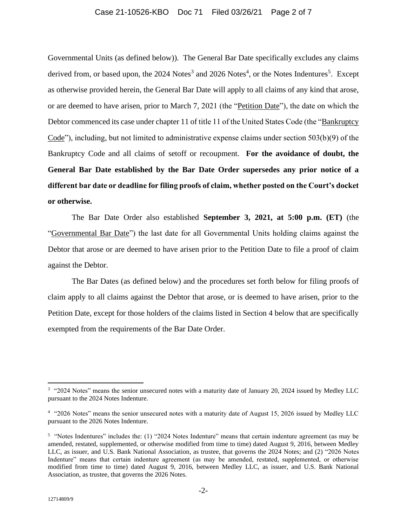#### Case 21-10526-KBO Doc 71 Filed 03/26/21 Page 2 of 7

Governmental Units (as defined below)). The General Bar Date specifically excludes any claims derived from, or based upon, the 2024 Notes<sup>3</sup> and 2026 Notes<sup>4</sup>, or the Notes Indentures<sup>5</sup>. Except as otherwise provided herein, the General Bar Date will apply to all claims of any kind that arose, or are deemed to have arisen, prior to March 7, 2021 (the "Petition Date"), the date on which the Debtor commenced its case under chapter 11 of title 11 of the United States Code (the "Bankruptcy Code"), including, but not limited to administrative expense claims under section 503(b)(9) of the Bankruptcy Code and all claims of setoff or recoupment. **For the avoidance of doubt, the General Bar Date established by the Bar Date Order supersedes any prior notice of a different bar date or deadline for filing proofs of claim, whether posted on the Court's docket or otherwise.**

The Bar Date Order also established **September 3, 2021, at 5:00 p.m. (ET)** (the "Governmental Bar Date") the last date for all Governmental Units holding claims against the Debtor that arose or are deemed to have arisen prior to the Petition Date to file a proof of claim against the Debtor.

The Bar Dates (as defined below) and the procedures set forth below for filing proofs of claim apply to all claims against the Debtor that arose, or is deemed to have arisen, prior to the Petition Date, except for those holders of the claims listed in Section 4 below that are specifically exempted from the requirements of the Bar Date Order.

<sup>&</sup>lt;sup>3</sup> "2024 Notes" means the senior unsecured notes with a maturity date of January 20, 2024 issued by Medley LLC pursuant to the 2024 Notes Indenture.

<sup>&</sup>lt;sup>4</sup> "2026 Notes" means the senior unsecured notes with a maturity date of August 15, 2026 issued by Medley LLC pursuant to the 2026 Notes Indenture.

<sup>&</sup>lt;sup>5</sup> "Notes Indentures" includes the: (1) "2024 Notes Indenture" means that certain indenture agreement (as may be amended, restated, supplemented, or otherwise modified from time to time) dated August 9, 2016, between Medley LLC, as issuer, and U.S. Bank National Association, as trustee, that governs the 2024 Notes; and (2) "2026 Notes Indenture" means that certain indenture agreement (as may be amended, restated, supplemented, or otherwise modified from time to time) dated August 9, 2016, between Medley LLC, as issuer, and U.S. Bank National Association, as trustee, that governs the 2026 Notes.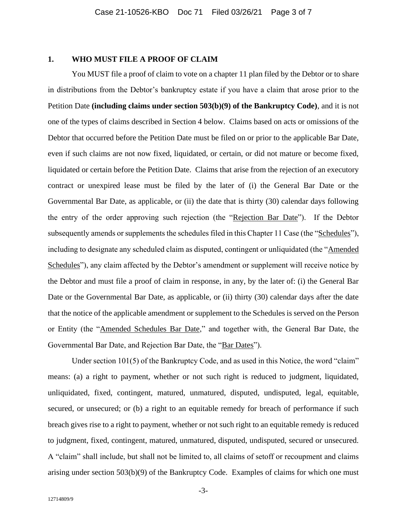## **1. WHO MUST FILE A PROOF OF CLAIM**

You MUST file a proof of claim to vote on a chapter 11 plan filed by the Debtor or to share in distributions from the Debtor's bankruptcy estate if you have a claim that arose prior to the Petition Date **(including claims under section 503(b)(9) of the Bankruptcy Code)**, and it is not one of the types of claims described in Section 4 below. Claims based on acts or omissions of the Debtor that occurred before the Petition Date must be filed on or prior to the applicable Bar Date, even if such claims are not now fixed, liquidated, or certain, or did not mature or become fixed, liquidated or certain before the Petition Date. Claims that arise from the rejection of an executory contract or unexpired lease must be filed by the later of (i) the General Bar Date or the Governmental Bar Date, as applicable, or (ii) the date that is thirty (30) calendar days following the entry of the order approving such rejection (the "Rejection Bar Date"). If the Debtor subsequently amends or supplements the schedules filed in this Chapter 11 Case (the "Schedules"), including to designate any scheduled claim as disputed, contingent or unliquidated (the "Amended Schedules"), any claim affected by the Debtor's amendment or supplement will receive notice by the Debtor and must file a proof of claim in response, in any, by the later of: (i) the General Bar Date or the Governmental Bar Date, as applicable, or (ii) thirty (30) calendar days after the date that the notice of the applicable amendment or supplement to the Schedules is served on the Person or Entity (the "Amended Schedules Bar Date," and together with, the General Bar Date, the Governmental Bar Date, and Rejection Bar Date, the "Bar Dates").

Under section 101(5) of the Bankruptcy Code, and as used in this Notice, the word "claim" means: (a) a right to payment, whether or not such right is reduced to judgment, liquidated, unliquidated, fixed, contingent, matured, unmatured, disputed, undisputed, legal, equitable, secured, or unsecured; or (b) a right to an equitable remedy for breach of performance if such breach gives rise to a right to payment, whether or not such right to an equitable remedy is reduced to judgment, fixed, contingent, matured, unmatured, disputed, undisputed, secured or unsecured. A "claim" shall include, but shall not be limited to, all claims of setoff or recoupment and claims arising under section 503(b)(9) of the Bankruptcy Code. Examples of claims for which one must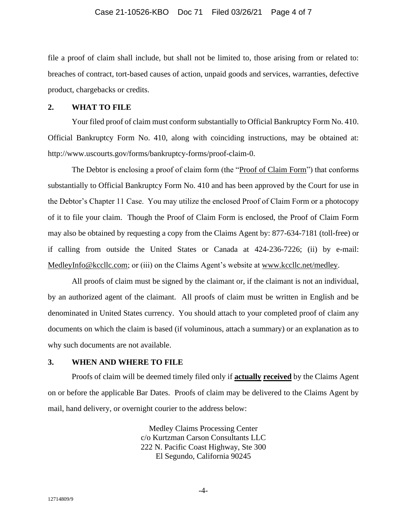### Case 21-10526-KBO Doc 71 Filed 03/26/21 Page 4 of 7

file a proof of claim shall include, but shall not be limited to, those arising from or related to: breaches of contract, tort-based causes of action, unpaid goods and services, warranties, defective product, chargebacks or credits.

### **2. WHAT TO FILE**

Your filed proof of claim must conform substantially to Official Bankruptcy Form No. 410. Official Bankruptcy Form No. 410, along with coinciding instructions, may be obtained at: http://www.uscourts.gov/forms/bankruptcy-forms/proof-claim-0.

The Debtor is enclosing a proof of claim form (the "Proof of Claim Form") that conforms substantially to Official Bankruptcy Form No. 410 and has been approved by the Court for use in the Debtor's Chapter 11 Case. You may utilize the enclosed Proof of Claim Form or a photocopy of it to file your claim. Though the Proof of Claim Form is enclosed, the Proof of Claim Form may also be obtained by requesting a copy from the Claims Agent by: 877-634-7181 (toll-free) or if calling from outside the United States or Canada at 424-236-7226; (ii) by e-mail: [MedleyInfo@kccllc.com;](mailto:MedleyInfo@kccllc.com) or (iii) on the Claims Agent's website at [www.kccllc.net/medley.](https://protect-us.mimecast.com/s/_DgGC4xLN1HERM81tx89M8)

All proofs of claim must be signed by the claimant or, if the claimant is not an individual, by an authorized agent of the claimant. All proofs of claim must be written in English and be denominated in United States currency. You should attach to your completed proof of claim any documents on which the claim is based (if voluminous, attach a summary) or an explanation as to why such documents are not available.

## **3. WHEN AND WHERE TO FILE**

Proofs of claim will be deemed timely filed only if **actually received** by the Claims Agent on or before the applicable Bar Dates. Proofs of claim may be delivered to the Claims Agent by mail, hand delivery, or overnight courier to the address below:

> Medley Claims Processing Center c/o Kurtzman Carson Consultants LLC 222 N. Pacific Coast Highway, Ste 300 El Segundo, California 90245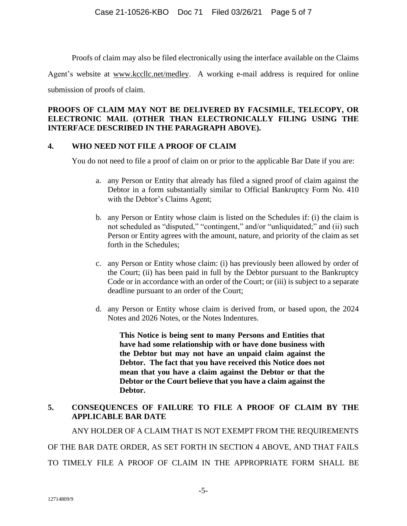Proofs of claim may also be filed electronically using the interface available on the Claims

Agent's website at [www.kccllc.net/medley.](https://protect-us.mimecast.com/s/_DgGC4xLN1HERM81tx89M8) A working e-mail address is required for online

submission of proofs of claim.

# **PROOFS OF CLAIM MAY NOT BE DELIVERED BY FACSIMILE, TELECOPY, OR ELECTRONIC MAIL (OTHER THAN ELECTRONICALLY FILING USING THE INTERFACE DESCRIBED IN THE PARAGRAPH ABOVE).**

# **4. WHO NEED NOT FILE A PROOF OF CLAIM**

You do not need to file a proof of claim on or prior to the applicable Bar Date if you are:

- a. any Person or Entity that already has filed a signed proof of claim against the Debtor in a form substantially similar to Official Bankruptcy Form No. 410 with the Debtor's Claims Agent;
- b. any Person or Entity whose claim is listed on the Schedules if: (i) the claim is not scheduled as "disputed," "contingent," and/or "unliquidated;" and (ii) such Person or Entity agrees with the amount, nature, and priority of the claim as set forth in the Schedules;
- c. any Person or Entity whose claim: (i) has previously been allowed by order of the Court; (ii) has been paid in full by the Debtor pursuant to the Bankruptcy Code or in accordance with an order of the Court; or (iii) is subject to a separate deadline pursuant to an order of the Court;
- d. any Person or Entity whose claim is derived from, or based upon, the 2024 Notes and 2026 Notes, or the Notes Indentures.

**This Notice is being sent to many Persons and Entities that have had some relationship with or have done business with the Debtor but may not have an unpaid claim against the Debtor. The fact that you have received this Notice does not mean that you have a claim against the Debtor or that the Debtor or the Court believe that you have a claim against the Debtor.**

# **5. CONSEQUENCES OF FAILURE TO FILE A PROOF OF CLAIM BY THE APPLICABLE BAR DATE**

ANY HOLDER OF A CLAIM THAT IS NOT EXEMPT FROM THE REQUIREMENTS

OF THE BAR DATE ORDER, AS SET FORTH IN SECTION 4 ABOVE, AND THAT FAILS

TO TIMELY FILE A PROOF OF CLAIM IN THE APPROPRIATE FORM SHALL BE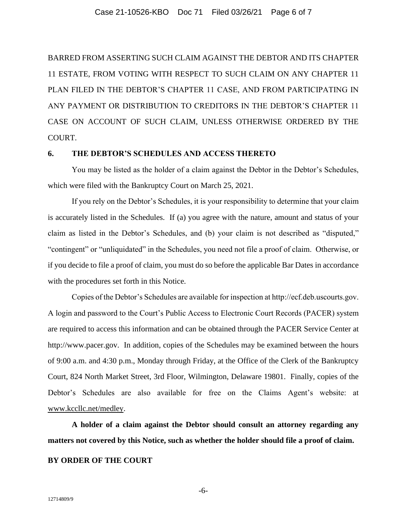BARRED FROM ASSERTING SUCH CLAIM AGAINST THE DEBTOR AND ITS CHAPTER 11 ESTATE, FROM VOTING WITH RESPECT TO SUCH CLAIM ON ANY CHAPTER 11 PLAN FILED IN THE DEBTOR'S CHAPTER 11 CASE, AND FROM PARTICIPATING IN ANY PAYMENT OR DISTRIBUTION TO CREDITORS IN THE DEBTOR'S CHAPTER 11 CASE ON ACCOUNT OF SUCH CLAIM, UNLESS OTHERWISE ORDERED BY THE COURT.

## **6. THE DEBTOR'S SCHEDULES AND ACCESS THERETO**

You may be listed as the holder of a claim against the Debtor in the Debtor's Schedules, which were filed with the Bankruptcy Court on March 25, 2021.

If you rely on the Debtor's Schedules, it is your responsibility to determine that your claim is accurately listed in the Schedules. If (a) you agree with the nature, amount and status of your claim as listed in the Debtor's Schedules, and (b) your claim is not described as "disputed," "contingent" or "unliquidated" in the Schedules, you need not file a proof of claim. Otherwise, or if you decide to file a proof of claim, you must do so before the applicable Bar Dates in accordance with the procedures set forth in this Notice.

Copies of the Debtor's Schedules are available for inspection at http://ecf.deb.uscourts.gov. A login and password to the Court's Public Access to Electronic Court Records (PACER) system are required to access this information and can be obtained through the PACER Service Center at http://www.pacer.gov. In addition, copies of the Schedules may be examined between the hours of 9:00 a.m. and 4:30 p.m., Monday through Friday, at the Office of the Clerk of the Bankruptcy Court, 824 North Market Street, 3rd Floor, Wilmington, Delaware 19801. Finally, copies of the Debtor's Schedules are also available for free on the Claims Agent's website: at [www.kccllc.net/medley.](https://protect-us.mimecast.com/s/_DgGC4xLN1HERM81tx89M8)

**A holder of a claim against the Debtor should consult an attorney regarding any matters not covered by this Notice, such as whether the holder should file a proof of claim.**

# **BY ORDER OF THE COURT**

-6-